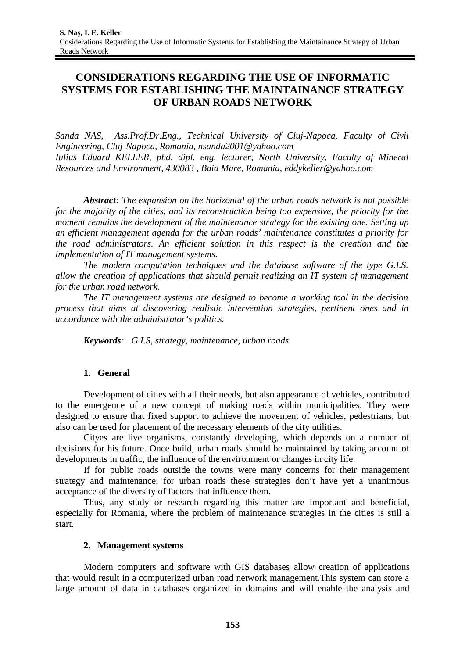# **CONSIDERATIONS REGARDING THE USE OF INFORMATIC SYSTEMS FOR ESTABLISHING THE MAINTAINANCE STRATEGY OF URBAN ROADS NETWORK**

*Sanda NAS*, *Ass.Prof.Dr.Eng., Technical University of Cluj-Napoca, Faculty of Civil Engineering, Cluj-Napoca, Romania, nsanda2001@yahoo.com Iulius Eduard KELLER, phd. dipl. eng. lecturer, North University, Faculty of Mineral Resources and Environment, 430083 , Baia Mare, Romania, eddykeller@yahoo.com*

*Abstract: The expansion on the horizontal of the urban roads network is not possible for the majority of the cities, and its reconstruction being too expensive, the priority for the moment remains the development of the maintenance strategy for the existing one. Setting up an efficient management agenda for the urban roads' maintenance constitutes a priority for the road administrators. An efficient solution in this respect is the creation and the implementation of IT management systems.*

*The modern computation techniques and the database software of the type G.I.S. allow the creation of applications that should permit realizing an IT system of management for the urban road network.*

*The IT management systems are designed to become a working tool in the decision process that aims at discovering realistic intervention strategies, pertinent ones and in accordance with the administrator's politics.* 

*Keywords: G.I.S, strategy, maintenance, urban roads.*

## **1. General**

Development of cities with all their needs, but also appearance of vehicles, contributed to the emergence of a new concept of making roads within municipalities. They were designed to ensure that fixed support to achieve the movement of vehicles, pedestrians, but also can be used for placement of the necessary elements of the city utilities.

Cityes are live organisms, constantly developing, which depends on a number of decisions for his future. Once build, urban roads should be maintained by taking account of developments in traffic, the influence of the environment or changes in city life.

If for public roads outside the towns were many concerns for their management strategy and maintenance, for urban roads these strategies don't have yet a unanimous acceptance of the diversity of factors that influence them.

Thus, any study or research regarding this matter are important and beneficial, especially for Romania, where the problem of maintenance strategies in the cities is still a start.

## **2. Management systems**

Modern computers and software with GIS databases allow creation of applications that would result in a computerized urban road network management.This system can store a large amount of data in databases organized in domains and will enable the analysis and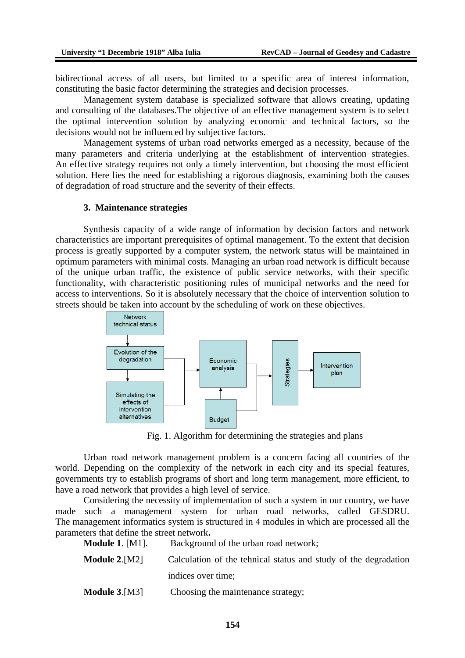bidirectional access of all users, but limited to a specific area of interest information, constituting the basic factor determining the strategies and decision processes.

Management system database is specialized software that allows creating, updating and consulting of the databases.The objective of an effective management system is to select the optimal intervention solution by analyzing economic and technical factors, so the decisions would not be influenced by subjective factors.

Management systems of urban road networks emerged as a necessity, because of the many parameters and criteria underlying at the establishment of intervention strategies. An effective strategy requires not only a timely intervention, but choosing the most efficient solution. Here lies the need for establishing a rigorous diagnosis, examining both the causes of degradation of road structure and the severity of their effects.

#### **3. Maintenance strategies**

Synthesis capacity of a wide range of information by decision factors and network characteristics are important prerequisites of optimal management. To the extent that decision process is greatly supported by a computer system, the network status will be maintained in optimum parameters with minimal costs. Managing an urban road network is difficult because of the unique urban traffic, the existence of public service networks, with their specific functionality, with characteristic positioning rules of municipal networks and the need for access to interventions. So it is absolutely necessary that the choice of intervention solution to streets should be taken into account by the scheduling of work on these objectives.



Fig. 1. Algorithm for determining the strategies and plans

Urban road network management problem is a concern facing all countries of the world. Depending on the complexity of the network in each city and its special features, governments try to establish programs of short and long term management, more efficient, to have a road network that provides a high level of service.

Considering the necessity of implementation of such a system in our country, we have made such a management system for urban road networks, called GESDRU. The management informatics system is structured in 4 modules in which are processed all the parameters that define the street network**.**

**Module 1.** [M1]. Background of the urban road network; **Module 2.**[M2] Calculation of the tehnical status and study of the degradation indices over time; **Module 3.**[M3] Choosing the maintenance strategy;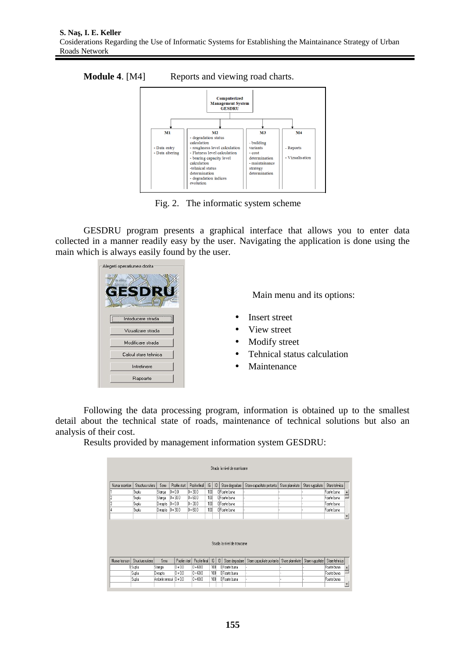



Fig. 2. The informatic system scheme

GESDRU program presents a graphical interface that allows you to enter data collected in a manner readily easy by the user. Navigating the application is done using the main which is always easily found by the user.



Main menu and its options:

- Insert street
- View street
- Modify street
- Tehnical status calculation
- Maintenance

Following the data processing program, information is obtained up to the smallest detail about the technical state of roads, maintenance of technical solutions but also an analysis of their cost.

Results provided by management information system GESDRU:

| Foarte buna |
|-------------|
|             |
| Foarte buna |
| Foarte buna |
| Foarte buna |
|             |
|             |

| Numar tronson | Structura rutiera I | Sens                   | Pozitie start | Pozitie final   IG |     | D |               | Stare degradare   Stare capacitate portanta   Stare planeitate   Stare rugozitate   Stare tehnica |  |             |  |
|---------------|---------------------|------------------------|---------------|--------------------|-----|---|---------------|---------------------------------------------------------------------------------------------------|--|-------------|--|
|               | Suplu               | Stanga                 | $ 0 + 0.0 $   | $0 + 60.0$         | 100 |   | O Foarte buna |                                                                                                   |  | Foarte buna |  |
|               | Suplu               | Dreanta                | $0 + 0.0$     | $0 + 60.0$         | 100 |   | O Foarte buna |                                                                                                   |  | Foarte buna |  |
|               | Suolu               | Ambele sensuri 0 + 0.0 |               | $0 + 60.0$         | 100 |   | O Foarte buna |                                                                                                   |  | Foarte buna |  |
|               |                     |                        |               |                    |     |   |               |                                                                                                   |  |             |  |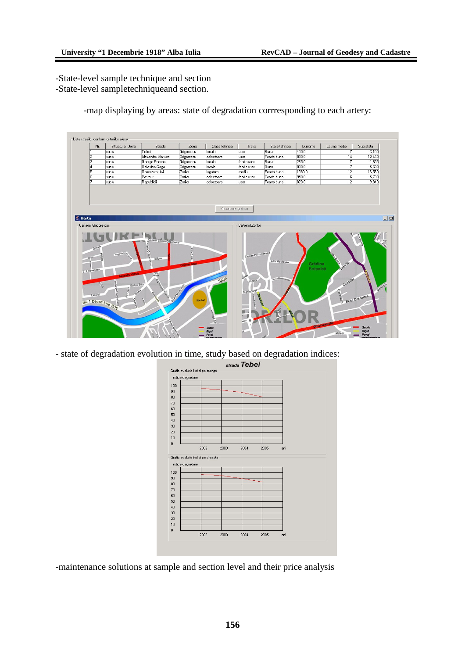-State-level sample technique and section -State-level sampletechniqueand section.

-map displaying by areas: state of degradation corrresponding to each artery:



- state of degradation evolution in time, study based on degradation indices:



-maintenance solutions at sample and section level and their price analysis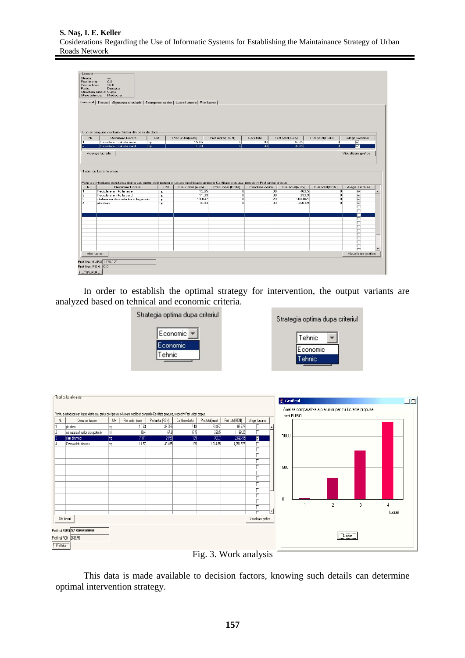| Locatie<br>Strada:<br>Pozitie start:<br>Pozitie final:<br>Parte: | ${}^{ss}$<br>0.0<br>30.0<br>Dreapta<br>Structura rutiera: Suplu<br>Stare tehnica: Mediocra<br>Carosabil   Trotuar   Siguranta circulatiei   Scurgerea apelor   Lucrari anexe   Pret lucrari |           |                    |                   |                  |                  |                 |                            |                          |
|------------------------------------------------------------------|---------------------------------------------------------------------------------------------------------------------------------------------------------------------------------------------|-----------|--------------------|-------------------|------------------|------------------|-----------------|----------------------------|--------------------------|
|                                                                  | Lucrari propuse conform datelor din baza de date                                                                                                                                            |           |                    |                   |                  |                  |                 |                            |                          |
| Nr.                                                              | Denumire lucrare                                                                                                                                                                            | <b>UM</b> | Pret unitar(euro)  | Pret unitar(RON)  | Cantitate        | Pret total(euro) | Pret total(RON) | Alege lucrarea             |                          |
| π                                                                | Reciclare in situ la rece<br>mp                                                                                                                                                             |           | 15.65              | o                 | 30               | 469.5            | o               | $\overline{\triangledown}$ |                          |
| 12                                                               | Reciclare in situ la cald<br>mp                                                                                                                                                             |           | 11.33              | o                 | 30 <sup>1</sup>  | 339.9            | 하               | $\blacksquare$             |                          |
|                                                                  | Tabel cu lucrarile alese<br>Pentru a introduce cantitatea dorita sau pretul dorit pentru o lucrare modificati campurile Cantitate propusa, respectiv Pret unitar propus                     |           |                    |                   |                  |                  |                 |                            |                          |
| Nr.                                                              | Denumire lucrare                                                                                                                                                                            | <b>UM</b> | Pret unitar (euro) | Pret unitar (RON) | Cantitate dorita | Pret total(euro) | Pret total(RON) | Alege lucrarea             |                          |
| π                                                                | Reciclare in situ la rece                                                                                                                                                                   | mp        | 15.65              | 히                 | 30               | 469.5            | o               | ঢ                          |                          |
| 2                                                                | Reciclare in situ la cald                                                                                                                                                                   | mp        | 11.33              | $\overline{0}$    | 30               | 339.9            | $\overline{0}$  | ঢ                          |                          |
| з<br>14                                                          | inlaturarea denivelarilor si fagaselor                                                                                                                                                      | mp        | 13.047<br>10.93    | o<br>n            | 23               | 300.081          | $\overline{0}$  |                            |                          |
|                                                                  | plombari                                                                                                                                                                                    | mp.       |                    |                   |                  |                  |                 | $\overline{\nabla}$        |                          |
|                                                                  |                                                                                                                                                                                             |           |                    |                   | 33               | 360.69           | $\overline{0}$  | $\overline{\nabla}$        |                          |
|                                                                  |                                                                                                                                                                                             |           |                    |                   |                  |                  |                 | ┍                          |                          |
|                                                                  |                                                                                                                                                                                             |           |                    |                   |                  |                  |                 |                            |                          |
|                                                                  |                                                                                                                                                                                             |           |                    |                   |                  |                  |                 | п                          |                          |
|                                                                  |                                                                                                                                                                                             |           |                    |                   |                  |                  |                 | г                          |                          |
|                                                                  |                                                                                                                                                                                             |           |                    |                   |                  |                  |                 | ┍                          |                          |
|                                                                  |                                                                                                                                                                                             |           |                    |                   |                  |                  |                 | г                          |                          |
|                                                                  |                                                                                                                                                                                             |           |                    |                   |                  |                  |                 | г                          |                          |
|                                                                  |                                                                                                                                                                                             |           |                    |                   |                  |                  |                 | г<br>г                     |                          |
|                                                                  |                                                                                                                                                                                             |           |                    |                   |                  |                  |                 | г                          |                          |
|                                                                  |                                                                                                                                                                                             |           |                    |                   |                  |                  |                 | ┍                          | $\overline{\phantom{0}}$ |
|                                                                  | Alte lucrari                                                                                                                                                                                |           |                    |                   |                  |                  |                 | Vizualizare grafica        |                          |
|                                                                  |                                                                                                                                                                                             |           |                    |                   |                  |                  |                 |                            |                          |
|                                                                  | Pret final EURO 1470.171                                                                                                                                                                    |           |                    |                   |                  |                  |                 |                            |                          |
| Pret total                                                       | Pret final RON 0.0                                                                                                                                                                          |           |                    |                   |                  |                  |                 |                            |                          |

In order to establish the optimal strategy for intervention, the output variants are analyzed based on tehnical and economic criteria.



| Strategia optima dupa criteriul |  |
|---------------------------------|--|
| Tehnic                          |  |
| Economic                        |  |
| Tehnic                          |  |



Fig. 3. Work analysis

This data is made available to decision factors, knowing such details can determine optimal intervention strategy.